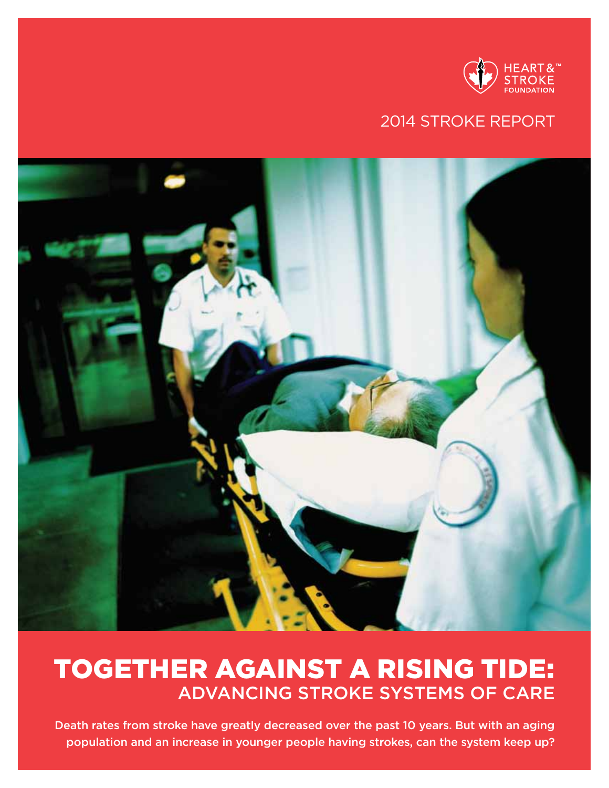

# 2014 stroke report



# together against a rising tide: Advancing Stroke systems of care

Death rates from stroke have greatly decreased over the past 10 years. But with an aging population and an increase in younger people having strokes, can the system keep up?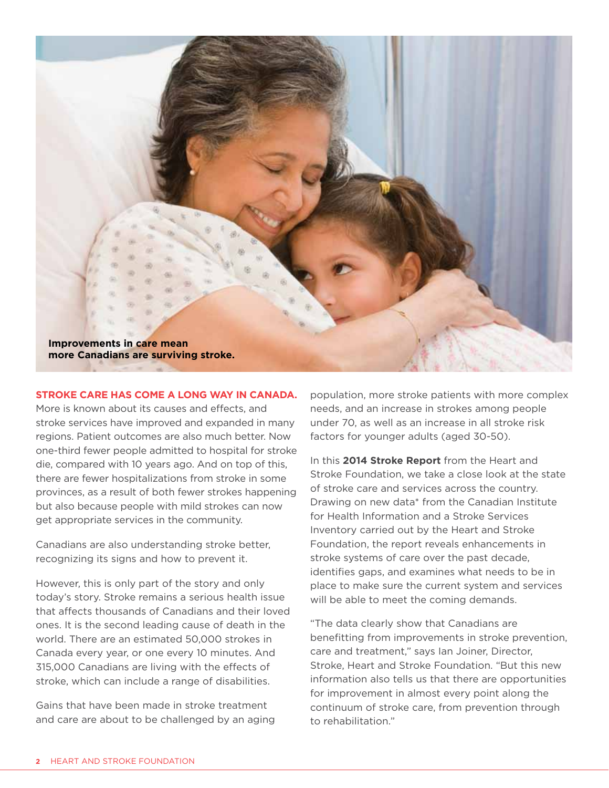

#### **Stroke care has come a long way in Canada.**

More is known about its causes and effects, and stroke services have improved and expanded in many regions. Patient outcomes are also much better. Now one-third fewer people admitted to hospital for stroke die, compared with 10 years ago. And on top of this, there are fewer hospitalizations from stroke in some provinces, as a result of both fewer strokes happening but also because people with mild strokes can now get appropriate services in the community.

Canadians are also understanding stroke better, recognizing its signs and how to prevent it.

However, this is only part of the story and only today's story. Stroke remains a serious health issue that affects thousands of Canadians and their loved ones. It is the second leading cause of death in the world. There are an estimated 50,000 strokes in Canada every year, or one every 10 minutes. And 315,000 Canadians are living with the effects of stroke, which can include a range of disabilities.

Gains that have been made in stroke treatment and care are about to be challenged by an aging population, more stroke patients with more complex needs, and an increase in strokes among people under 70, as well as an increase in all stroke risk factors for younger adults (aged 30-50).

In this **2014 Stroke Report** from the Heart and Stroke Foundation, we take a close look at the state of stroke care and services across the country. Drawing on new data\* from the Canadian Institute for Health Information and a Stroke Services Inventory carried out by the Heart and Stroke Foundation, the report reveals enhancements in stroke systems of care over the past decade, identifies gaps, and examines what needs to be in place to make sure the current system and services will be able to meet the coming demands.

"The data clearly show that Canadians are benefitting from improvements in stroke prevention, care and treatment," says Ian Joiner, Director, Stroke, Heart and Stroke Foundation. "But this new information also tells us that there are opportunities for improvement in almost every point along the continuum of stroke care, from prevention through to rehabilitation."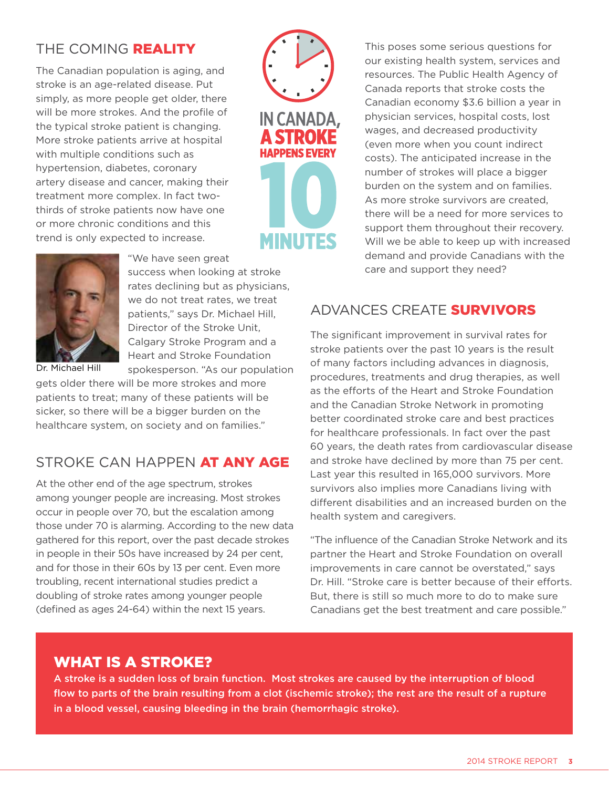## THE COMING REALITY

The Canadian population is aging, and stroke is an age-related disease. Put simply, as more people get older, there will be more strokes. And the profile of the typical stroke patient is changing. More stroke patients arrive at hospital with multiple conditions such as hypertension, diabetes, coronary artery disease and cancer, making their treatment more complex. In fact twothirds of stroke patients now have one or more chronic conditions and this trend is only expected to increase.



This poses some serious questions for our existing health system, services and resources. The Public Health Agency of Canada reports that stroke costs the Canadian economy \$3.6 billion a year in physician services, hospital costs, lost wages, and decreased productivity (even more when you count indirect costs). The anticipated increase in the number of strokes will place a bigger burden on the system and on families. As more stroke survivors are created, there will be a need for more services to support them throughout their recovery. Will we be able to keep up with increased demand and provide Canadians with the care and support they need?



"We have seen great success when looking at stroke rates declining but as physicians, we do not treat rates, we treat patients," says Dr. Michael Hill, Director of the Stroke Unit, Calgary Stroke Program and a Heart and Stroke Foundation spokesperson. "As our population

Dr. Michael Hill

gets older there will be more strokes and more patients to treat; many of these patients will be sicker, so there will be a bigger burden on the healthcare system, on society and on families."

#### STROKE CAN HAPPEN AT ANY AGE

At the other end of the age spectrum, strokes among younger people are increasing. Most strokes occur in people over 70, but the escalation among those under 70 is alarming. According to the new data gathered for this report, over the past decade strokes in people in their 50s have increased by 24 per cent, and for those in their 60s by 13 per cent. Even more troubling, recent international studies predict a doubling of stroke rates among younger people (defined as ages 24-64) within the next 15 years.

## advances create survivors

The significant improvement in survival rates for stroke patients over the past 10 years is the result of many factors including advances in diagnosis, procedures, treatments and drug therapies, as well as the efforts of the Heart and Stroke Foundation and the Canadian Stroke Network in promoting better coordinated stroke care and best practices for healthcare professionals. In fact over the past 60 years, the death rates from cardiovascular disease and stroke have declined by more than 75 per cent. Last year this resulted in 165,000 survivors. More survivors also implies more Canadians living with different disabilities and an increased burden on the health system and caregivers.

"The influence of the Canadian Stroke Network and its partner the Heart and Stroke Foundation on overall improvements in care cannot be overstated," says Dr. Hill. "Stroke care is better because of their efforts. But, there is still so much more to do to make sure Canadians get the best treatment and care possible."

## what is a stroke?

A stroke is a sudden loss of brain function. Most strokes are caused by the interruption of blood flow to parts of the brain resulting from a clot (ischemic stroke); the rest are the result of a rupture in a blood vessel, causing bleeding in the brain (hemorrhagic stroke).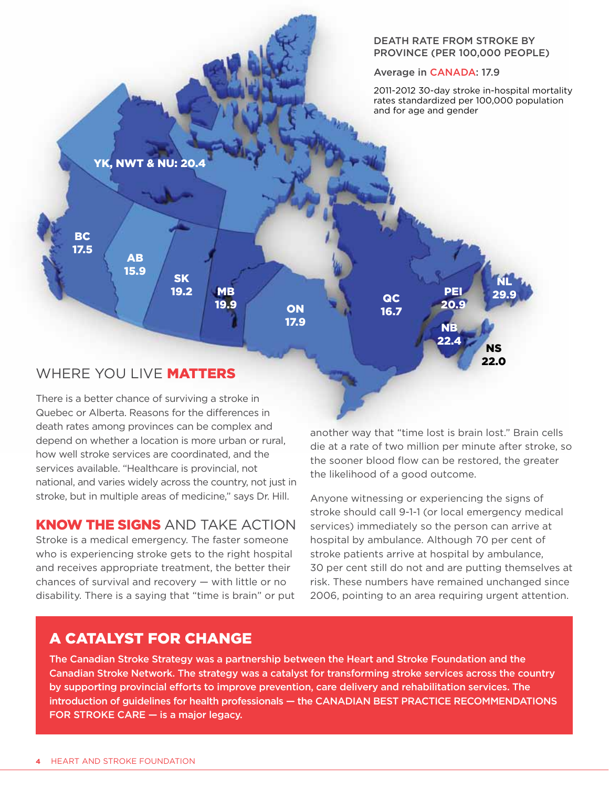

There is a better chance of surviving a stroke in Quebec or Alberta. Reasons for the differences in death rates among provinces can be complex and depend on whether a location is more urban or rural, how well stroke services are coordinated, and the services available. "Healthcare is provincial, not national, and varies widely across the country, not just in stroke, but in multiple areas of medicine," says Dr. Hill.

#### know the signs and take action

Stroke is a medical emergency. The faster someone who is experiencing stroke gets to the right hospital and receives appropriate treatment, the better their chances of survival and recovery — with little or no disability. There is a saying that "time is brain" or put another way that "time lost is brain lost." Brain cells die at a rate of two million per minute after stroke, so the sooner blood flow can be restored, the greater the likelihood of a good outcome.

Anyone witnessing or experiencing the signs of stroke should call 9-1-1 (or local emergency medical services) immediately so the person can arrive at hospital by ambulance. Although 70 per cent of stroke patients arrive at hospital by ambulance, 30 per cent still do not and are putting themselves at risk. These numbers have remained unchanged since 2006, pointing to an area requiring urgent attention.

# a catalyst for change

The Canadian Stroke Strategy was a partnership between the Heart and Stroke Foundation and the Canadian Stroke Network. The strategy was a catalyst for transforming stroke services across the country by supporting provincial efforts to improve prevention, care delivery and rehabilitation services. The introduction of guidelines for health professionals - the CANADIAN BEST PRACTICE RECOMMENDATIONS FOR STROKE CARE  $-$  is a major legacy.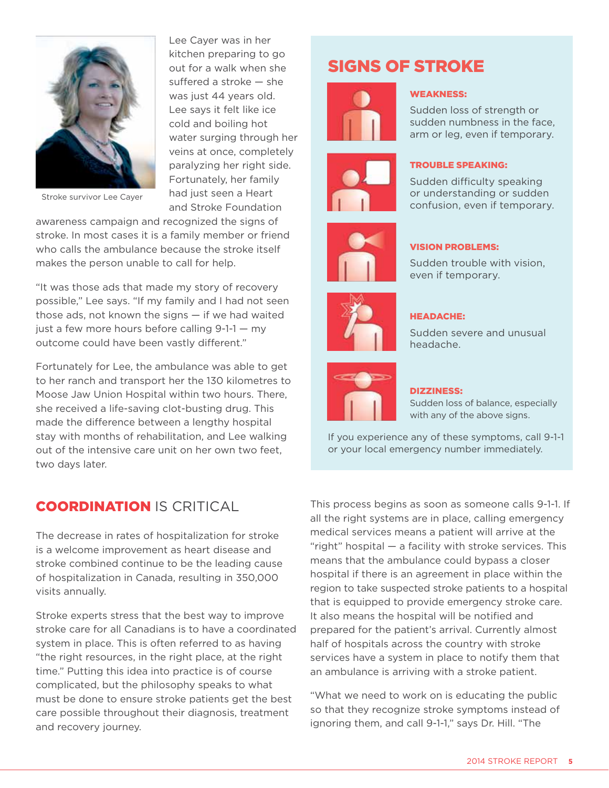

Lee Cayer was in her kitchen preparing to go out for a walk when she suffered a stroke — she was just 44 years old. Lee says it felt like ice cold and boiling hot water surging through her veins at once, completely paralyzing her right side. Fortunately, her family had just seen a Heart and Stroke Foundation

Stroke survivor Lee Cayer

awareness campaign and recognized the signs of stroke. In most cases it is a family member or friend who calls the ambulance because the stroke itself makes the person unable to call for help.

"It was those ads that made my story of recovery possible," Lee says. "If my family and I had not seen those ads, not known the signs — if we had waited just a few more hours before calling 9-1-1 — my outcome could have been vastly different."

Fortunately for Lee, the ambulance was able to get to her ranch and transport her the 130 kilometres to Moose Jaw Union Hospital within two hours. There, she received a life-saving clot-busting drug. This made the difference between a lengthy hospital stay with months of rehabilitation, and Lee walking out of the intensive care unit on her own two feet, two days later.

#### **COORDINATION IS CRITICAL**

The decrease in rates of hospitalization for stroke is a welcome improvement as heart disease and stroke combined continue to be the leading cause of hospitalization in Canada, resulting in 350,000 visits annually.

Stroke experts stress that the best way to improve stroke care for all Canadians is to have a coordinated system in place. This is often referred to as having "the right resources, in the right place, at the right time." Putting this idea into practice is of course complicated, but the philosophy speaks to what must be done to ensure stroke patients get the best care possible throughout their diagnosis, treatment and recovery journey.

# signs of stroke

Weakness:











#### Vision problems:

trouble speaking:

Sudden trouble with vision, even if temporary.

Sudden loss of strength or sudden numbness in the face, arm or leg, even if temporary.

Sudden difficulty speaking or understanding or sudden confusion, even if temporary.

#### headache:

Sudden severe and unusual headache.



#### dizziness:

Sudden loss of balance, especially with any of the above signs.

If you experience any of these symptoms, call 9-1-1 or your local emergency number immediately.

This process begins as soon as someone calls 9-1-1. If all the right systems are in place, calling emergency medical services means a patient will arrive at the "right" hospital — a facility with stroke services. This means that the ambulance could bypass a closer hospital if there is an agreement in place within the region to take suspected stroke patients to a hospital that is equipped to provide emergency stroke care. It also means the hospital will be notified and prepared for the patient's arrival. Currently almost half of hospitals across the country with stroke services have a system in place to notify them that an ambulance is arriving with a stroke patient.

"What we need to work on is educating the public so that they recognize stroke symptoms instead of ignoring them, and call 9-1-1," says Dr. Hill. "The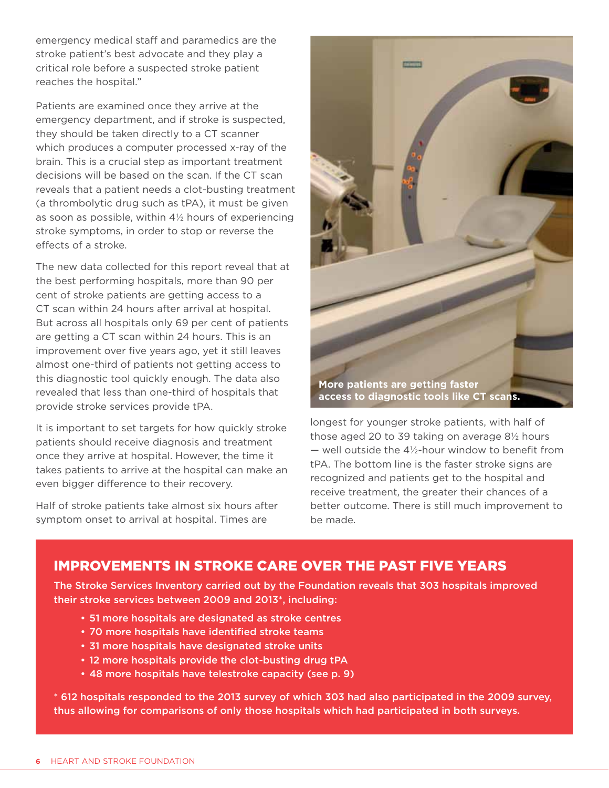emergency medical staff and paramedics are the stroke patient's best advocate and they play a critical role before a suspected stroke patient reaches the hospital."

Patients are examined once they arrive at the emergency department, and if stroke is suspected, they should be taken directly to a CT scanner which produces a computer processed x-ray of the brain. This is a crucial step as important treatment decisions will be based on the scan. If the CT scan reveals that a patient needs a clot-busting treatment (a thrombolytic drug such as tPA), it must be given as soon as possible, within 4½ hours of experiencing stroke symptoms, in order to stop or reverse the effects of a stroke.

The new data collected for this report reveal that at the best performing hospitals, more than 90 per cent of stroke patients are getting access to a CT scan within 24 hours after arrival at hospital. But across all hospitals only 69 per cent of patients are getting a CT scan within 24 hours. This is an improvement over five years ago, yet it still leaves almost one-third of patients not getting access to this diagnostic tool quickly enough. The data also revealed that less than one-third of hospitals that provide stroke services provide tPA.

It is important to set targets for how quickly stroke patients should receive diagnosis and treatment once they arrive at hospital. However, the time it takes patients to arrive at the hospital can make an even bigger difference to their recovery.

Half of stroke patients take almost six hours after symptom onset to arrival at hospital. Times are



longest for younger stroke patients, with half of those aged 20 to 39 taking on average 8½ hours  $-$  well outside the 4½-hour window to benefit from tPA. The bottom line is the faster stroke signs are recognized and patients get to the hospital and receive treatment, the greater their chances of a better outcome. There is still much improvement to be made.

#### improvements in stroke care over the past five years

The Stroke Services Inventory carried out by the Foundation reveals that 303 hospitals improved their stroke services between 2009 and 2013\*, including:

- 51 more hospitals are designated as stroke centres
- 70 more hospitals have identified stroke teams
- 31 more hospitals have designated stroke units
- 12 more hospitals provide the clot-busting drug tPA
- 48 more hospitals have telestroke capacity (see p. 9)

\* 612 hospitals responded to the 2013 survey of which 303 had also participated in the 2009 survey, thus allowing for comparisons of only those hospitals which had participated in both surveys.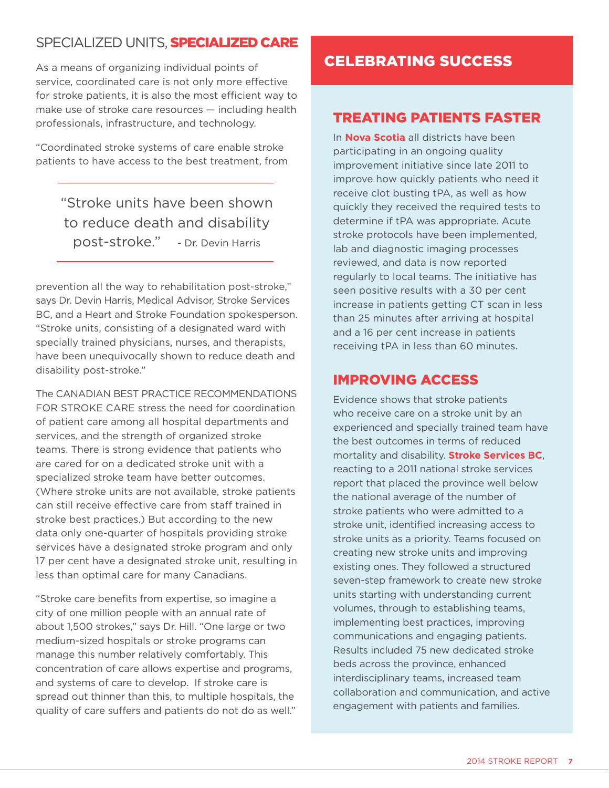### SPECIALIZED UNITS. SPECIALIZED CARE

As a means of organizing individual points of service, coordinated care is not only more effective for stroke patients, it is also the most efficient way to make use of stroke care resources — including health professionals, infrastructure, and technology.

"Coordinated stroke systems of care enable stroke patients to have access to the best treatment, from

"Stroke units have been shown to reduce death and disability post-stroke." - Dr. Devin Harris

prevention all the way to rehabilitation post-stroke," says Dr. Devin Harris, Medical Advisor, Stroke Services BC, and a Heart and Stroke Foundation spokesperson. "Stroke units, consisting of a designated ward with specially trained physicians, nurses, and therapists, have been unequivocally shown to reduce death and disability post-stroke."

The Canadian Best Practice Recommendations for Stroke Care stress the need for coordination of patient care among all hospital departments and services, and the strength of organized stroke teams. There is strong evidence that patients who are cared for on a dedicated stroke unit with a specialized stroke team have better outcomes. (Where stroke units are not available, stroke patients can still receive effective care from staff trained in stroke best practices.) But according to the new data only one-quarter of hospitals providing stroke services have a designated stroke program and only 17 per cent have a designated stroke unit, resulting in less than optimal care for many Canadians.

"Stroke care benefits from expertise, so imagine a city of one million people with an annual rate of about 1,500 strokes," says Dr. Hill. "One large or two medium-sized hospitals or stroke programs can manage this number relatively comfortably. This concentration of care allows expertise and programs, and systems of care to develop. If stroke care is spread out thinner than this, to multiple hospitals, the quality of care suffers and patients do not do as well."

# celebrating success

#### Treating patients faster

In **Nova Scotia** all districts have been participating in an ongoing quality improvement initiative since late 2011 to improve how quickly patients who need it receive clot busting tPA, as well as how quickly they received the required tests to determine if tPA was appropriate. Acute stroke protocols have been implemented, lab and diagnostic imaging processes reviewed, and data is now reported regularly to local teams. The initiative has seen positive results with a 30 per cent increase in patients getting CT scan in less than 25 minutes after arriving at hospital and a 16 per cent increase in patients receiving tPA in less than 60 minutes.

#### improving access

Evidence shows that stroke patients who receive care on a stroke unit by an experienced and specially trained team have the best outcomes in terms of reduced mortality and disability. **Stroke Services BC**, reacting to a 2011 national stroke services report that placed the province well below the national average of the number of stroke patients who were admitted to a stroke unit, identified increasing access to stroke units as a priority. Teams focused on creating new stroke units and improving existing ones. They followed a structured seven-step framework to create new stroke units starting with understanding current volumes, through to establishing teams, implementing best practices, improving communications and engaging patients. Results included 75 new dedicated stroke beds across the province, enhanced interdisciplinary teams, increased team collaboration and communication, and active engagement with patients and families.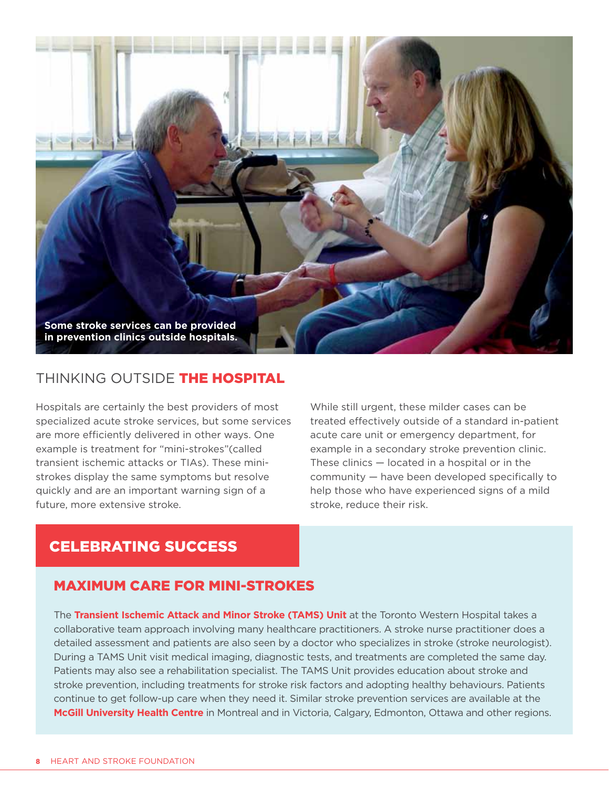

#### THINKING OUTSIDE THE HOSPITAL

Hospitals are certainly the best providers of most specialized acute stroke services, but some services are more efficiently delivered in other ways. One example is treatment for "mini-strokes"(called transient ischemic attacks or TIAs). These ministrokes display the same symptoms but resolve quickly and are an important warning sign of a future, more extensive stroke.

While still urgent, these milder cases can be treated effectively outside of a standard in-patient acute care unit or emergency department, for example in a secondary stroke prevention clinic. These clinics — located in a hospital or in the community — have been developed specifically to help those who have experienced signs of a mild stroke, reduce their risk.

## celebrating success

#### maximum care for mini-strokes

The **Transient Ischemic Attack and Minor Stroke (TAMS) Unit** at the Toronto Western Hospital takes a collaborative team approach involving many healthcare practitioners. A stroke nurse practitioner does a detailed assessment and patients are also seen by a doctor who specializes in stroke (stroke neurologist). During a TAMS Unit visit medical imaging, diagnostic tests, and treatments are completed the same day. Patients may also see a rehabilitation specialist. The TAMS Unit provides education about stroke and stroke prevention, including treatments for stroke risk factors and adopting healthy behaviours. Patients continue to get follow-up care when they need it. Similar stroke prevention services are available at the **McGill University Health Centre** in Montreal and in Victoria, Calgary, Edmonton, Ottawa and other regions.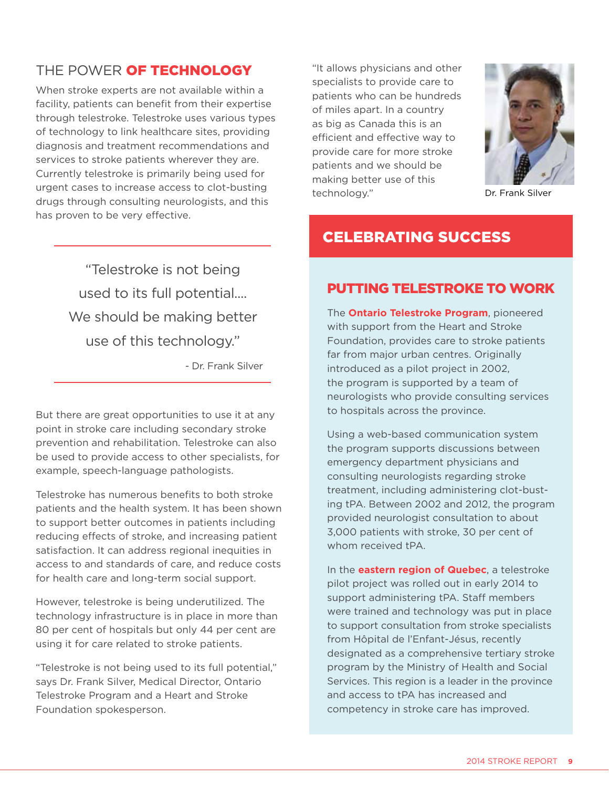## THE POWER OF TECHNOLOGY

When stroke experts are not available within a facility, patients can benefit from their expertise through telestroke. Telestroke uses various types of technology to link healthcare sites, providing diagnosis and treatment recommendations and services to stroke patients wherever they are. Currently telestroke is primarily being used for urgent cases to increase access to clot-busting drugs through consulting neurologists, and this has proven to be very effective.

"It allows physicians and other specialists to provide care to patients who can be hundreds of miles apart. In a country as big as Canada this is an efficient and effective way to provide care for more stroke patients and we should be making better use of this technology." Dr. Frank Silver



# "Telestroke is not being used to its full potential.... We should be making better use of this technology."

- Dr. Frank Silver

But there are great opportunities to use it at any point in stroke care including secondary stroke prevention and rehabilitation. Telestroke can also be used to provide access to other specialists, for example, speech-language pathologists.

Telestroke has numerous benefits to both stroke patients and the health system. It has been shown to support better outcomes in patients including reducing effects of stroke, and increasing patient satisfaction. It can address regional inequities in access to and standards of care, and reduce costs for health care and long-term social support.

However, telestroke is being underutilized. The technology infrastructure is in place in more than 80 per cent of hospitals but only 44 per cent are using it for care related to stroke patients.

"Telestroke is not being used to its full potential," says Dr. Frank Silver, Medical Director, Ontario Telestroke Program and a Heart and Stroke Foundation spokesperson.

# putting telestroke to work

celebrating success

The **Ontario Telestroke Program**, pioneered with support from the Heart and Stroke Foundation, provides care to stroke patients far from major urban centres. Originally introduced as a pilot project in 2002, the program is supported by a team of neurologists who provide consulting services to hospitals across the province.

Using a web-based communication system the program supports discussions between emergency department physicians and consulting neurologists regarding stroke treatment, including administering clot-busting tPA. Between 2002 and 2012, the program provided neurologist consultation to about 3,000 patients with stroke, 30 per cent of whom received tPA.

In the **eastern region of Quebec**, a telestroke pilot project was rolled out in early 2014 to support administering tPA. Staff members were trained and technology was put in place to support consultation from stroke specialists from Hôpital de l'Enfant-Jésus, recently designated as a comprehensive tertiary stroke program by the Ministry of Health and Social Services. This region is a leader in the province and access to tPA has increased and competency in stroke care has improved.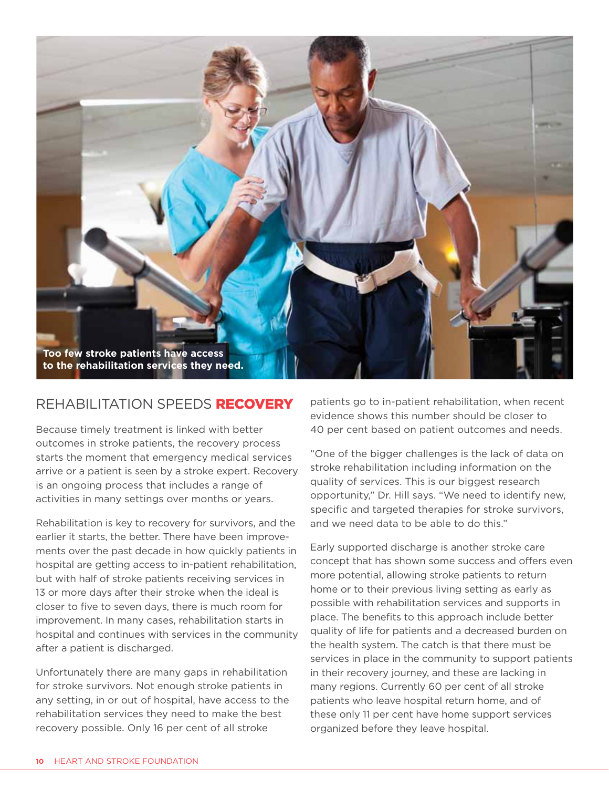

#### rehabilitation speeds recovery

Because timely treatment is linked with better outcomes in stroke patients, the recovery process starts the moment that emergency medical services arrive or a patient is seen by a stroke expert. Recovery is an ongoing process that includes a range of activities in many settings over months or years.

Rehabilitation is key to recovery for survivors, and the earlier it starts, the better. There have been improvements over the past decade in how quickly patients in hospital are getting access to in-patient rehabilitation, but with half of stroke patients receiving services in 13 or more days after their stroke when the ideal is closer to five to seven days, there is much room for improvement. In many cases, rehabilitation starts in hospital and continues with services in the community after a patient is discharged.

Unfortunately there are many gaps in rehabilitation for stroke survivors. Not enough stroke patients in any setting, in or out of hospital, have access to the rehabilitation services they need to make the best recovery possible. Only 16 per cent of all stroke

patients go to in-patient rehabilitation, when recent evidence shows this number should be closer to 40 per cent based on patient outcomes and needs.

"One of the bigger challenges is the lack of data on stroke rehabilitation including information on the quality of services. This is our biggest research opportunity," Dr. Hill says. "We need to identify new, specific and targeted therapies for stroke survivors, and we need data to be able to do this."

Early supported discharge is another stroke care concept that has shown some success and offers even more potential, allowing stroke patients to return home or to their previous living setting as early as possible with rehabilitation services and supports in place. The benefits to this approach include better quality of life for patients and a decreased burden on the health system. The catch is that there must be services in place in the community to support patients in their recovery journey, and these are lacking in many regions. Currently 60 per cent of all stroke patients who leave hospital return home, and of these only 11 per cent have home support services organized before they leave hospital.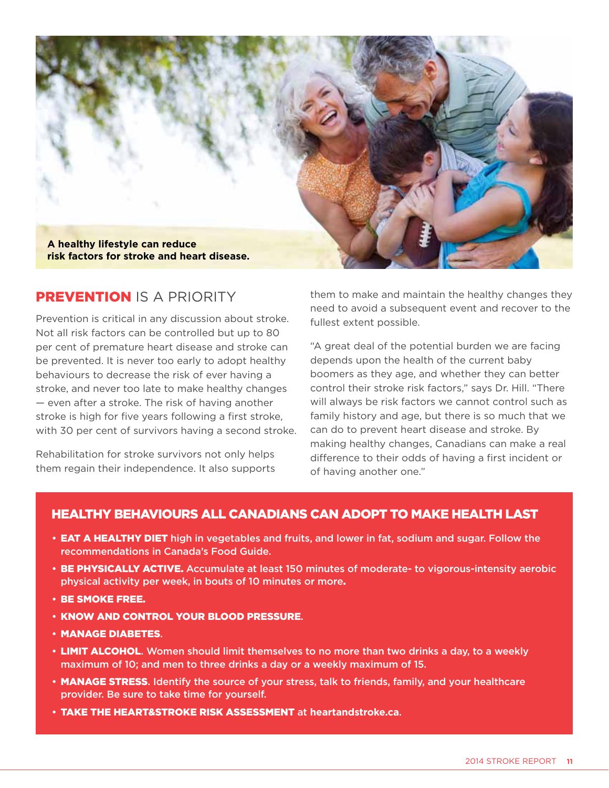

#### **PREVENTION IS A PRIORITY**

Prevention is critical in any discussion about stroke. Not all risk factors can be controlled but up to 80 per cent of premature heart disease and stroke can be prevented. It is never too early to adopt healthy behaviours to decrease the risk of ever having a stroke, and never too late to make healthy changes — even after a stroke. The risk of having another stroke is high for five years following a first stroke, with 30 per cent of survivors having a second stroke.

Rehabilitation for stroke survivors not only helps them regain their independence. It also supports them to make and maintain the healthy changes they need to avoid a subsequent event and recover to the fullest extent possible.

"A great deal of the potential burden we are facing depends upon the health of the current baby boomers as they age, and whether they can better control their stroke risk factors," says Dr. Hill. "There will always be risk factors we cannot control such as family history and age, but there is so much that we can do to prevent heart disease and stroke. By making healthy changes, Canadians can make a real difference to their odds of having a first incident or of having another one."

#### Healthy behaviours all Canadians can adopt to make health last

- **EAT A HEALTHY DIET** high in vegetables and fruits, and lower in fat, sodium and sugar. Follow the recommendations in Canada's Food Guide.
- BE PHYSICALLY ACTIVE. Accumulate at least 150 minutes of moderate- to vigorous-intensity aerobic physical activity per week, in bouts of 10 minutes or more.
- • Be smoke free.
- KNOW AND CONTROL YOUR BLOOD PRESSURE.
- • Manage diabetes.
- LIMIT ALCOHOL. Women should limit themselves to no more than two drinks a day, to a weekly maximum of 10; and men to three drinks a day or a weekly maximum of 15.
- MANAGE STRESS. Identify the source of your stress, talk to friends, family, and your healthcare provider. Be sure to take time for yourself.
- • Take the Heart&Stroke Risk Assessment at **[heartandstroke.ca](http://www.heartandstroke.ca)**.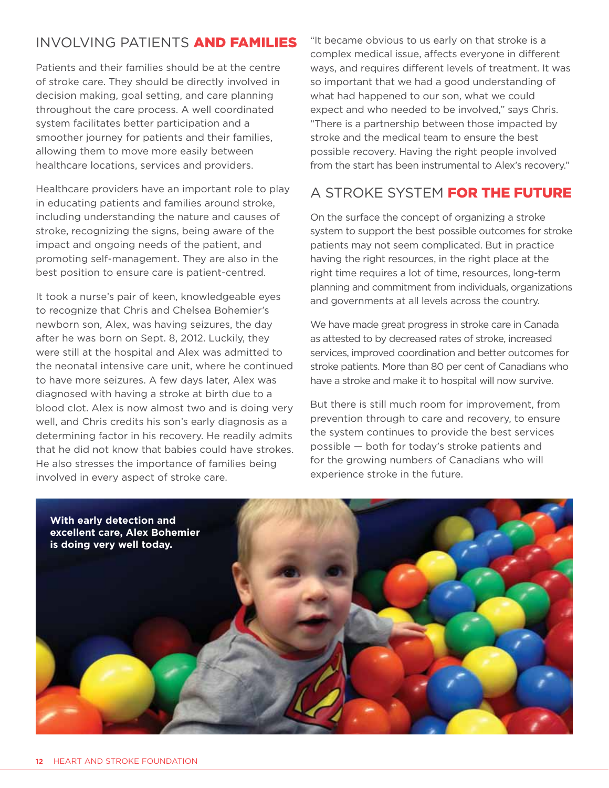# INVOI VING PATIFNTS AND FAMILIES

Patients and their families should be at the centre of stroke care. They should be directly involved in decision making, goal setting, and care planning throughout the care process. A well coordinated system facilitates better participation and a smoother journey for patients and their families, allowing them to move more easily between healthcare locations, services and providers.

Healthcare providers have an important role to play in educating patients and families around stroke, including understanding the nature and causes of stroke, recognizing the signs, being aware of the impact and ongoing needs of the patient, and promoting self-management. They are also in the best position to ensure care is patient-centred.

It took a nurse's pair of keen, knowledgeable eyes to recognize that Chris and Chelsea Bohemier's newborn son, Alex, was having seizures, the day after he was born on Sept. 8, 2012. Luckily, they were still at the hospital and Alex was admitted to the neonatal intensive care unit, where he continued to have more seizures. A few days later, Alex was diagnosed with having a stroke at birth due to a blood clot. Alex is now almost two and is doing very well, and Chris credits his son's early diagnosis as a determining factor in his recovery. He readily admits that he did not know that babies could have strokes. He also stresses the importance of families being involved in every aspect of stroke care.

"It became obvious to us early on that stroke is a complex medical issue, affects everyone in different ways, and requires different levels of treatment. It was so important that we had a good understanding of what had happened to our son, what we could expect and who needed to be involved," says Chris. "There is a partnership between those impacted by stroke and the medical team to ensure the best possible recovery. Having the right people involved from the start has been instrumental to Alex's recovery."

# A STROKE SYSTEM FOR THE FUTURE

On the surface the concept of organizing a stroke system to support the best possible outcomes for stroke patients may not seem complicated. But in practice having the right resources, in the right place at the right time requires a lot of time, resources, long-term planning and commitment from individuals, organizations and governments at all levels across the country.

We have made great progress in stroke care in Canada as attested to by decreased rates of stroke, increased services, improved coordination and better outcomes for stroke patients. More than 80 per cent of Canadians who have a stroke and make it to hospital will now survive.

But there is still much room for improvement, from prevention through to care and recovery, to ensure the system continues to provide the best services possible — both for today's stroke patients and for the growing numbers of Canadians who will experience stroke in the future.

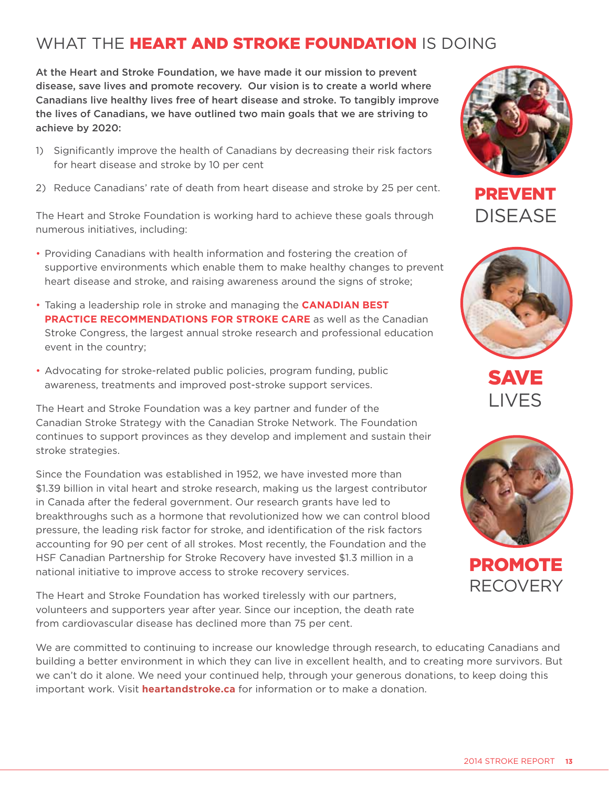# WHAT THE **HEART AND STROKE FOUNDATION** IS DOING

At the Heart and Stroke Foundation, we have made it our mission to prevent disease, save lives and promote recovery. Our vision is to create a world where Canadians live healthy lives free of heart disease and stroke. To tangibly improve the lives of Canadians, we have outlined two main goals that we are striving to achieve by 2020:

- 1) Significantly improve the health of Canadians by decreasing their risk factors for heart disease and stroke by 10 per cent
- 2) Reduce Canadians' rate of death from heart disease and stroke by 25 per cent.

The Heart and Stroke Foundation is working hard to achieve these goals through numerous initiatives, including:

- Providing Canadians with health information and fostering the creation of supportive environments which enable them to make healthy changes to prevent heart disease and stroke, and raising awareness around the signs of stroke;
- Taking a leadership role in stroke and managing the **[Canadian Best](http://www.strokebestpractices.ca/)  PRACTICE RECOMMENDATIONS FOR STROKE CARE** as well as the Canadian Stroke Congress, the largest annual stroke research and professional education event in the country;
- Advocating for stroke-related public policies, program funding, public awareness, treatments and improved post-stroke support services.

The Heart and Stroke Foundation was a key partner and funder of the Canadian Stroke Strategy with the Canadian Stroke Network. The Foundation continues to support provinces as they develop and implement and sustain their stroke strategies.

Since the Foundation was established in 1952, we have invested more than \$1.39 billion in [vital heart and stroke research,](http://www.heartandstroke.com/site/lookup.asp?c=ikIQLcMWJtE&b=3479073) making us the largest contributor in Canada after the federal government. Our research grants have led to breakthroughs such as a hormone that revolutionized how we can control blood pressure, the leading risk factor for stroke, and identification of the risk factors accounting for 90 per cent of all strokes. Most recently, the Foundation and the HSF Canadian Partnership for Stroke Recovery have invested \$1.3 million in a national initiative to improve access to stroke recovery services.

The Heart and Stroke Foundation has worked tirelessly with our partners, volunteers and supporters year after year. Since our inception, the death rate from cardiovascular disease has declined more than 75 per cent.

We are committed to continuing to increase our knowledge through research, to educating Canadians and building a better environment in which they can live in excellent health, and to creating more survivors. But we can't do it alone. We need your continued help, through your generous donations, to keep doing this important work. Visit **[heartandstroke.ca](http://heartandstroke.ca)** for information or to make a donation.



PREVENT DISEASE



SAVE LIVES



PROMOTE **RECOVERY**